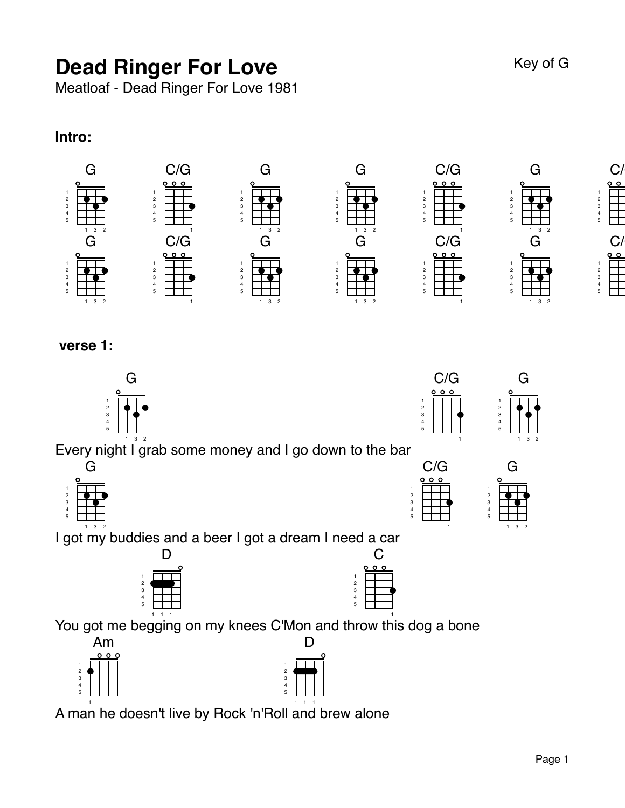# **Dead Ringer For Love** Key of G

Meatloaf - Dead Ringer For Love 1981

#### **Intro:**



 **verse 1:**



Every night I grab some money and I go down to the bar



 3 2 I got my buddies and a beer I got a dream I need a car



| You got me begging on my knees C'Mon and |   |
|------------------------------------------|---|
| Am                                       |   |
| ०००                                      |   |
|                                          |   |
| 3                                        | 3 |
|                                          |   |

A man he doesn't live by Rock 'n'Roll and brew alone



C/G

1 throw this dog a bone

C



3 2

G

3 2



 $C/$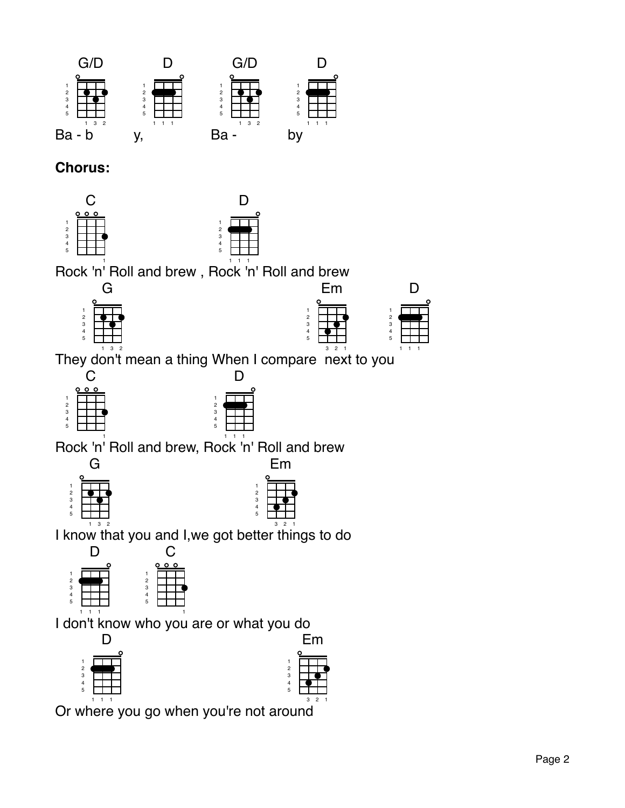

## **Chorus:**





Em

D<sub>1</sub>

1 1

Rock 'n' Roll and brew , Rock 'n' Roll and brew



C

Rock 'n' Roll and brew, Rock 'n' Roll and brew





I know that you and I,we got better things to do



I don't know who you are or what you do 





Or where you go when you're not around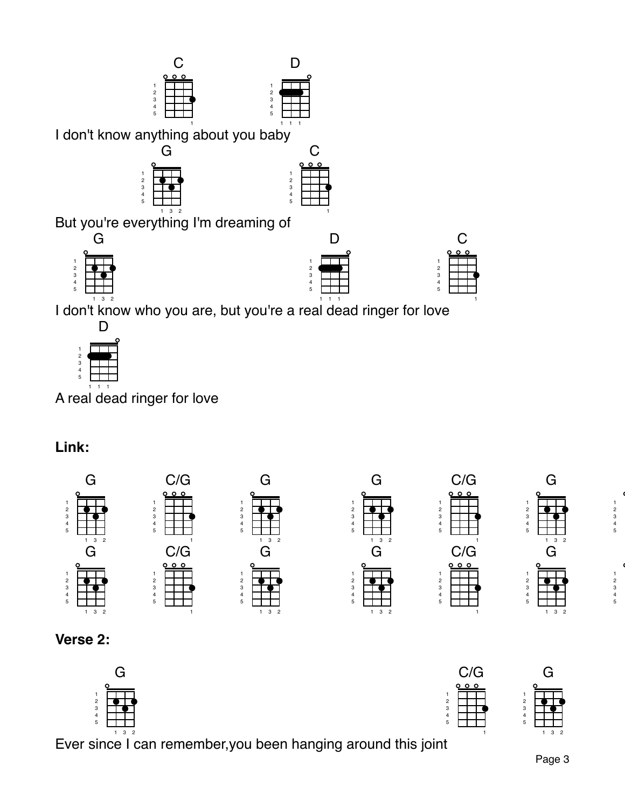

l don't know who you are, but you're a real dead ringer for love



A real dead ringer for love

## **Link:**



#### **Verse 2:**



Ever since I can remember,you been hanging around this joi nt



 $\mathsf C$ 

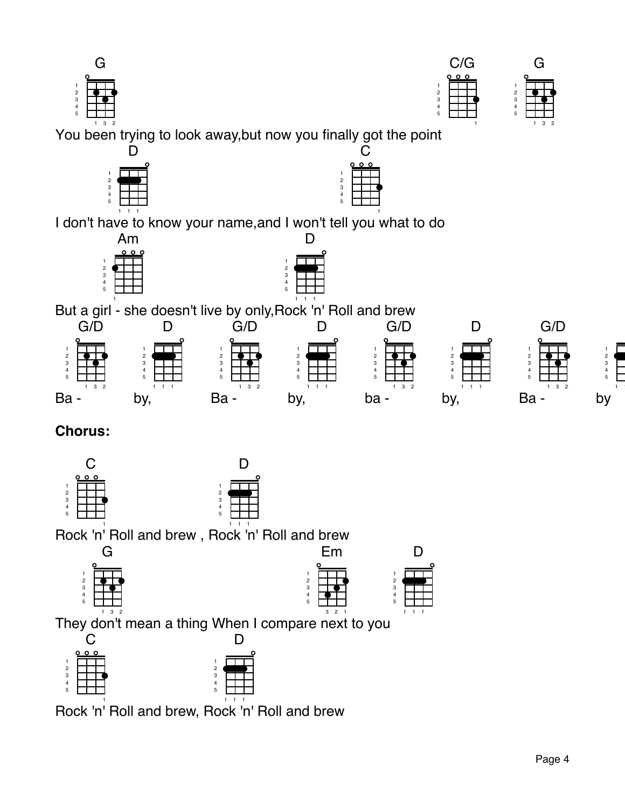|                       | ¢ | Þ |                |
|-----------------------|---|---|----------------|
| 1<br>2<br>3<br>4<br>5 |   |   |                |
|                       | ٠ | 3 | $\overline{c}$ |

5

Y ou been trying to look away,but now you finally got the po int C



Am



But a girl - she doesn't live by only, Rock 'n' Roll and brew 



# **Chorus:**





Rock 'n' Roll and brew , Rock 'n' Roll and brew



Em 2 3 4 5



Th ey don't mean a thing When I comp are next to yo u 2 1

|                | 000 |                |  |
|----------------|-----|----------------|--|
|                |     |                |  |
| $\overline{2}$ |     | $\overline{2}$ |  |
| 3              |     | 3              |  |
| 4              |     | 4              |  |
| 5              |     | 5              |  |
|                |     |                |  |

Rock 'n' Roll and brew, Rock 'n' Roll and brew



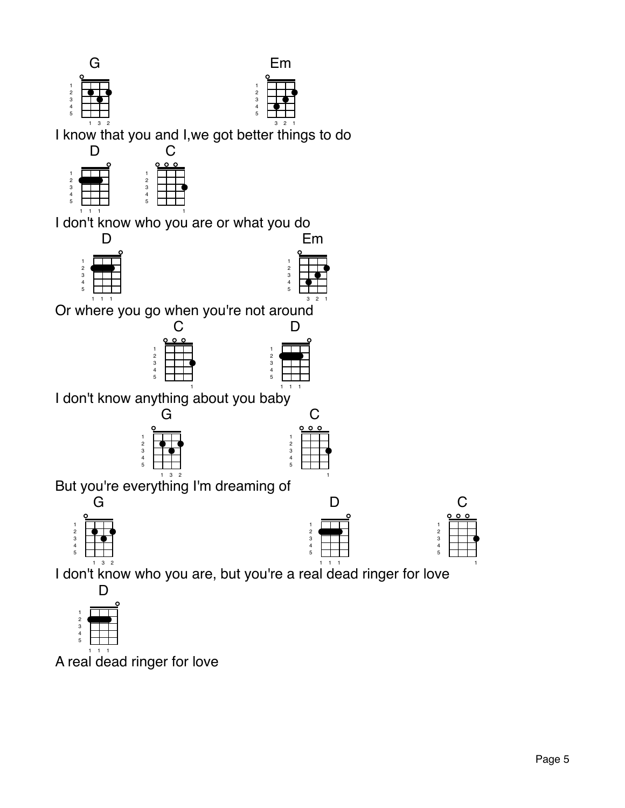



I know that you and I,we got b etter things to do



I don't know who you are or what you do





Em

Or where you go when you're not around





I don't know anything about you baby





But you're everything I'm dreaming of



D

|                                                     | ο |  | э |  |
|-----------------------------------------------------|---|--|---|--|
|                                                     |   |  |   |  |
| $\begin{array}{c}\n 2 \\ 3 \\ 4 \\ 5\n \end{array}$ |   |  |   |  |
|                                                     |   |  |   |  |
|                                                     |   |  |   |  |
|                                                     |   |  |   |  |
|                                                     |   |  |   |  |

 $\overline{C}$ 

l don't know who you are, but you're a real dead ringer for love



A real dead ringer for love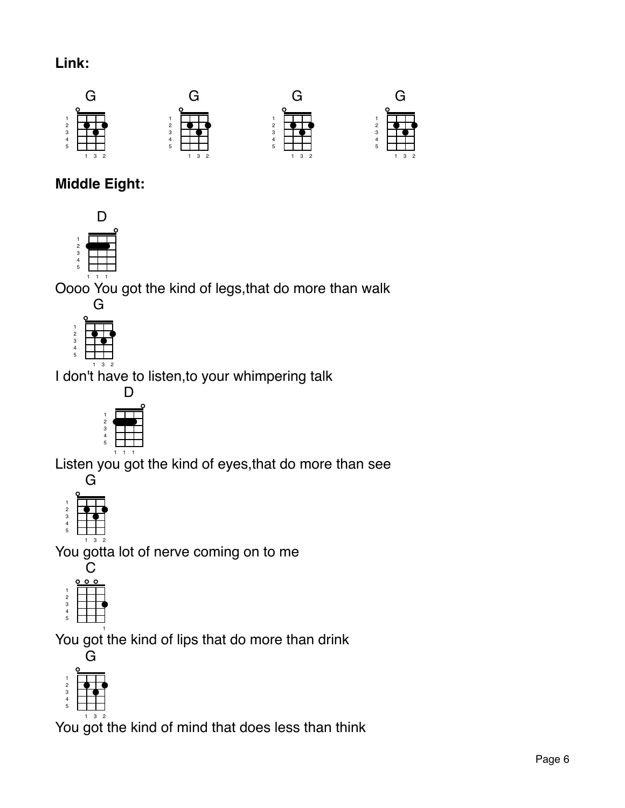## **Link:**



# **Middle Eight:**



Oooo You got the kind of legs,that do more than walk



I don't have to listen,to your whimpering talk



Listen you got the kind of eyes,that do more than see



You gotta lot of nerve coming on to me



 You got the kind of lips that do more than drink



You  $\mathring{{\mathsf{g}}}$ ot the kind of mind that does less than think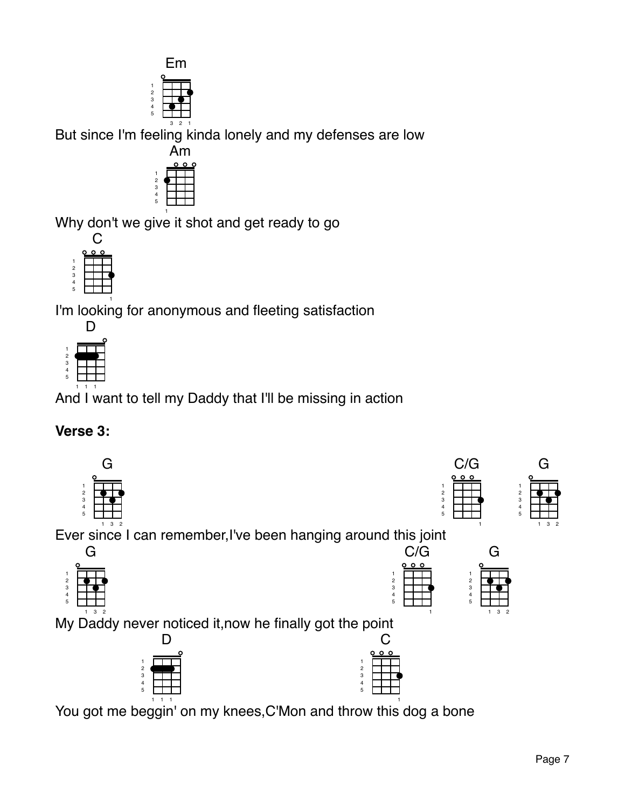|       |   | ı              |
|-------|---|----------------|
|       |   |                |
| 12345 |   |                |
|       | 3 | $\overline{2}$ |

But since I'm feeling kinda lonely and my defenses are low



Why don't we give it shot and get ready to go



I' m looking for anonymous and fleeting satisfaction



And I want to tell my Daddy that I'll be missing in action

#### **Verse 3:**

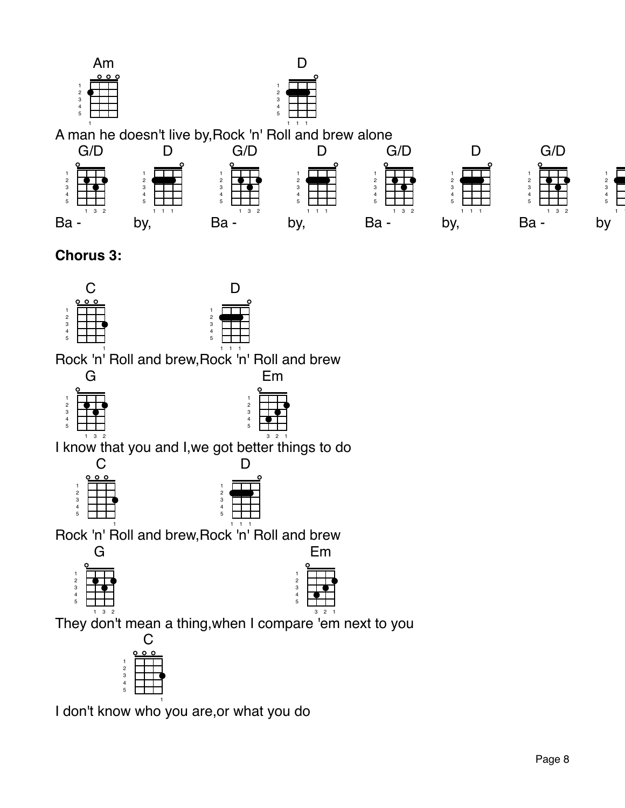



## **Chorus 3:**



Rock 'n' Roll and brew,Rock 'n' Roll and brew  $\overline{C}$ 

| $\frac{1}{2}$ 3 4 5 |   |  |
|---------------------|---|--|
|                     |   |  |
|                     |   |  |
|                     |   |  |
|                     | ٠ |  |



I know that you and I,we got better things to do

|       | Ο<br>c |   |
|-------|--------|---|
|       |        |   |
| 12345 |        |   |
|       |        |   |
|       |        |   |
|       |        |   |
|       |        | ٠ |



Rock 'n' Roll and brew, Rock 'n' Roll and brew Em



| ı<br>ш |                     |  |  |  |
|--------|---------------------|--|--|--|
|        |                     |  |  |  |
|        |                     |  |  |  |
|        |                     |  |  |  |
|        |                     |  |  |  |
| 12345  |                     |  |  |  |
|        |                     |  |  |  |
|        | $\overline{2}$<br>3 |  |  |  |

T hey don't mean a thing,when I com pare 'em next to you

|       | ۰ |  | כ |  |
|-------|---|--|---|--|
|       |   |  |   |  |
| 12345 |   |  |   |  |
|       |   |  |   |  |
|       |   |  |   |  |
|       |   |  |   |  |
|       |   |  |   |  |

I don't kn ow who you are,or what you do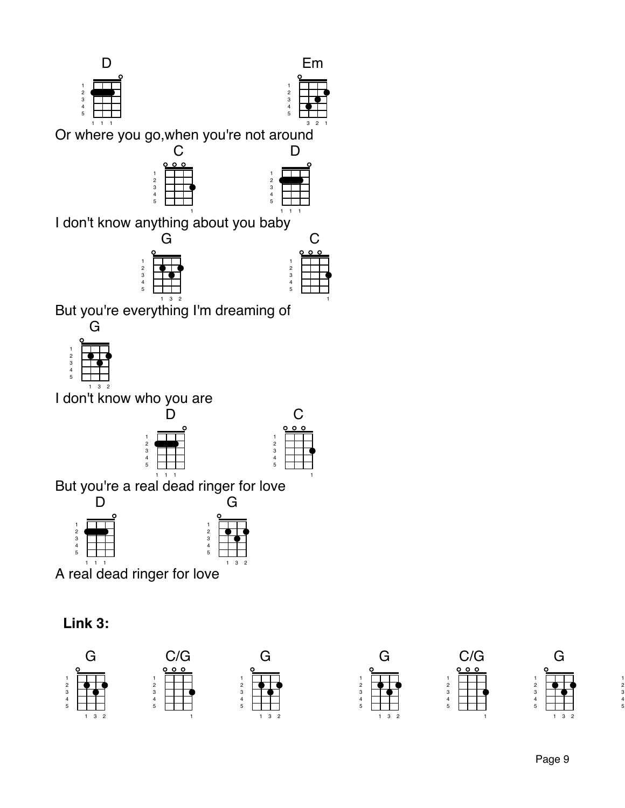



 $\mathsf C$ 

Or where you go,when you're not around





I don't know anything about you baby



But you're everything I'm dreaming of



I don<sup>'t know who you are</sup>



|       | э | ٥ |  |
|-------|---|---|--|
|       |   |   |  |
|       |   |   |  |
|       |   |   |  |
| 12345 |   |   |  |
|       |   |   |  |
|       |   |   |  |

But you're a real dead ringer for love



A real dead ringer for love

#### **Link 3:**